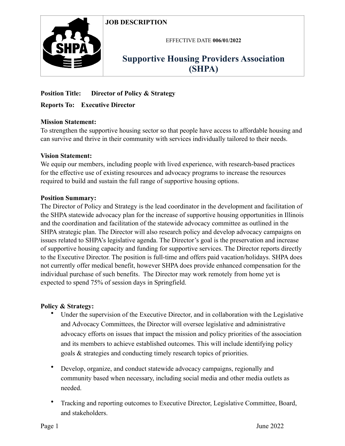# **JOB DESCRIPTION**



EFFECTIVE DATE **006/01/2022**

# **Supportive Housing Providers Association (SHPA)**

# **Position Title: Director of Policy & Strategy**

## **Reports To: Executive Director**

## **Mission Statement:**

To strengthen the supportive housing sector so that people have access to affordable housing and can survive and thrive in their community with services individually tailored to their needs.

### **Vision Statement:**

We equip our members, including people with lived experience, with research-based practices for the effective use of existing resources and advocacy programs to increase the resources required to build and sustain the full range of supportive housing options.

### **Position Summary:**

The Director of Policy and Strategy is the lead coordinator in the development and facilitation of the SHPA statewide advocacy plan for the increase of supportive housing opportunities in Illinois and the coordination and facilitation of the statewide advocacy committee as outlined in the SHPA strategic plan. The Director will also research policy and develop advocacy campaigns on issues related to SHPA's legislative agenda. The Director's goal is the preservation and increase of supportive housing capacity and funding for supportive services. The Director reports directly to the Executive Director. The position is full-time and offers paid vacation/holidays. SHPA does not currently offer medical benefit, however SHPA does provide enhanced compensation for the individual purchase of such benefits. The Director may work remotely from home yet is expected to spend 75% of session days in Springfield.

# **Policy & Strategy:**

- Under the supervision of the Executive Director, and in collaboration with the Legislative and Advocacy Committees, the Director will oversee legislative and administrative advocacy efforts on issues that impact the mission and policy priorities of the association and its members to achieve established outcomes. This will include identifying policy goals & strategies and conducting timely research topics of priorities.
- Develop, organize, and conduct statewide advocacy campaigns, regionally and community based when necessary, including social media and other media outlets as needed.
- Tracking and reporting outcomes to Executive Director, Legislative Committee, Board, and stakeholders.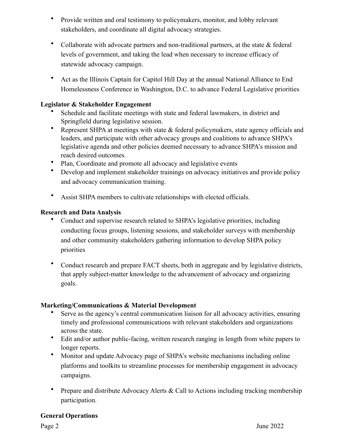- Provide written and oral testimony to policymakers, monitor, and lobby relevant stakeholders, and coordinate all digital advocacy strategies.
- Collaborate with advocate partners and non-traditional partners, at the state & federal levels of government, and taking the lead when necessary to increase efficacy of statewide advocacy campaign.
- Act as the Illinois Captain for Capitol Hill Day at the annual National Alliance to End Homelessness Conference in Washington, D.C. to advance Federal Legislative priorities

## **Legislator & Stakeholder Engagement**

- Schedule and facilitate meetings with state and federal lawmakers, in district and Springfield during legislative session.
- Represent SHPA at meetings with state & federal policymakers, state agency officials and leaders, and participate with other advocacy groups and coalitions to advance SHPA's legislative agenda and other policies deemed necessary to advance SHPA's mission and reach desired outcomes.
- Plan, Coordinate and promote all advocacy and legislative events
- Develop and implement stakeholder trainings on advocacy initiatives and provide policy and advocacy communication training.
- Assist SHPA members to cultivate relationships with elected officials.

## **Research and Data Analysis**

- Conduct and supervise research related to SHPA's legislative priorities, including conducting focus groups, listening sessions, and stakeholder surveys with membership and other community stakeholders gathering information to develop SHPA policy priorities
- Conduct research and prepare FACT sheets, both in aggregate and by legislative districts, that apply subject-matter knowledge to the advancement of advocacy and organizing goals.

### **Marketing/Communications & Material Development**

- Serve as the agency's central communication liaison for all advocacy activities, ensuring timely and professional communications with relevant stakeholders and organizations across the state.
- Edit and/or author public-facing, written research ranging in length from white papers to longer reports.
- Monitor and update Advocacy page of SHPA's website mechanisms including online platforms and toolkits to streamline processes for membership engagement in advocacy campaigns.
- Prepare and distribute Advocacy Alerts & Call to Actions including tracking membership participation.

### **General Operations**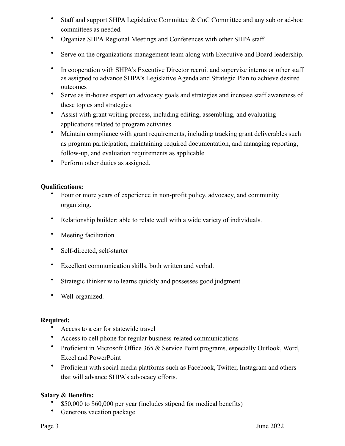- Staff and support SHPA Legislative Committee & CoC Committee and any sub or ad-hoc committees as needed.
- Organize SHPA Regional Meetings and Conferences with other SHPA staff.
- Serve on the organizations management team along with Executive and Board leadership.
- In cooperation with SHPA's Executive Director recruit and supervise interns or other staff as assigned to advance SHPA's Legislative Agenda and Strategic Plan to achieve desired outcomes
- Serve as in-house expert on advocacy goals and strategies and increase staff awareness of these topics and strategies.
- Assist with grant writing process, including editing, assembling, and evaluating applications related to program activities.
- Maintain compliance with grant requirements, including tracking grant deliverables such as program participation, maintaining required documentation, and managing reporting, follow-up, and evaluation requirements as applicable
- Perform other duties as assigned.

### **Qualifications:**

- Four or more years of experience in non-profit policy, advocacy, and community organizing.
- Relationship builder: able to relate well with a wide variety of individuals.
- Meeting facilitation.
- Self-directed, self-starter
- Excellent communication skills, both written and verbal.
- Strategic thinker who learns quickly and possesses good judgment
- Well-organized.

# **Required:**

- Access to a car for statewide travel
- Access to cell phone for regular business-related communications
- Proficient in Microsoft Office 365 & Service Point programs, especially Outlook, Word, Excel and PowerPoint
- Proficient with social media platforms such as Facebook, Twitter, Instagram and others that will advance SHPA's advocacy efforts.

# **Salary & Benefits:**

- \$50,000 to \$60,000 per year (includes stipend for medical benefits)
- Generous vacation package